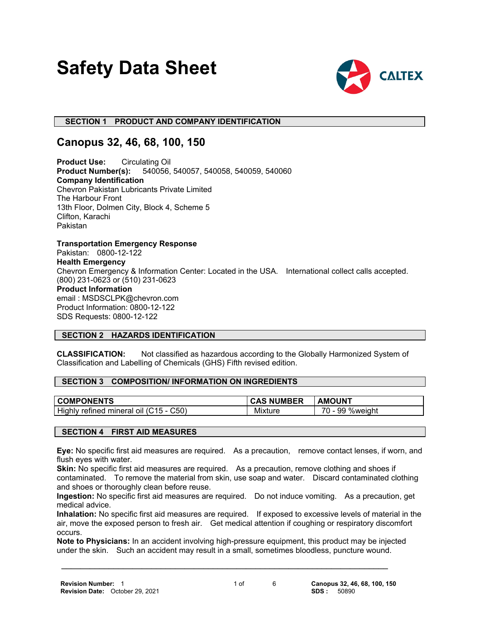# **Safety Data Sheet**



# **SECTION 1 PRODUCT AND COMPANY IDENTIFICATION**

# **Canopus 32, 46, 68, 100, 150**

**Product Use:** Circulating Oil **Product Number(s):** 540056, 540057, 540058, 540059, 540060 **Company Identification** Chevron Pakistan Lubricants Private Limited The Harbour Front 13th Floor, Dolmen City, Block 4, Scheme 5 Clifton, Karachi Pakistan

**Transportation Emergency Response** Pakistan: 0800-12-122 **Health Emergency** Chevron Emergency & Information Center: Located in the USA. International collect calls accepted. (800) 231-0623 or (510) 231-0623 **Product Information** email : MSDSCLPK@chevron.com Product Information: 0800-12-122 SDS Requests: 0800-12-122

#### **SECTION 2 HAZARDS IDENTIFICATION**

**CLASSIFICATION:** Not classified as hazardous according to the Globally Harmonized System of Classification and Labelling of Chemicals (GHS) Fifth revised edition.

#### **SECTION 3 COMPOSITION/ INFORMATION ON INGREDIENTS**

| <b>COMPONENTS</b>                                  | <b>CAS NUMBER</b> | <b>AMOUNT</b>               |
|----------------------------------------------------|-------------------|-----------------------------|
| Highly<br>C50)<br>l mineral oil (C15 -<br>refined. | Mixture           | ¬∼<br>99<br>%weiahi<br>70 - |

#### **SECTION 4 FIRST AID MEASURES**

**Eye:** No specific first aid measures are required. As a precaution, remove contact lenses, if worn, and flush eyes with water.

**Skin:** No specific first aid measures are required. As a precaution, remove clothing and shoes if contaminated. To remove the material from skin, use soap and water. Discard contaminated clothing and shoes or thoroughly clean before reuse.

**Ingestion:** No specific first aid measures are required. Do not induce vomiting. As a precaution, get medical advice.

**Inhalation:** No specific first aid measures are required. If exposed to excessive levels of material in the air, move the exposed person to fresh air. Get medical attention if coughing or respiratory discomfort occurs.

**Note to Physicians:** In an accident involving high-pressure equipment, this product may be injected under the skin. Such an accident may result in a small, sometimes bloodless, puncture wound.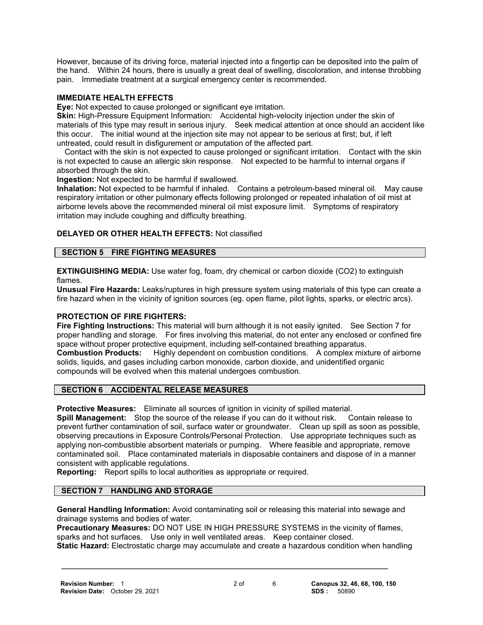However, because of its driving force, material injected into a fingertip can be deposited into the palm of the hand. Within 24 hours, there is usually a great deal of swelling, discoloration, and intense throbbing pain. Immediate treatment at a surgical emergency center is recommended.

#### **IMMEDIATE HEALTH EFFECTS**

**Eye:** Not expected to cause prolonged or significant eye irritation.

**Skin:** High-Pressure Equipment Information: Accidental high-velocity injection under the skin of materials of this type may result in serious injury. Seek medical attention at once should an accident like this occur. The initial wound at the injection site may not appear to be serious at first; but, if left untreated, could result in disfigurement or amputation of the affected part.

 Contact with the skin is not expected to cause prolonged or significant irritation. Contact with the skin is not expected to cause an allergic skin response. Not expected to be harmful to internal organs if absorbed through the skin.

**Ingestion:** Not expected to be harmful if swallowed.

**Inhalation:** Not expected to be harmful if inhaled. Contains a petroleum-based mineral oil. May cause respiratory irritation or other pulmonary effects following prolonged or repeated inhalation of oil mist at airborne levels above the recommended mineral oil mist exposure limit. Symptoms of respiratory irritation may include coughing and difficulty breathing.

#### **DELAYED OR OTHER HEALTH EFFECTS:** Not classified

#### **SECTION 5 FIRE FIGHTING MEASURES**

**EXTINGUISHING MEDIA:** Use water fog, foam, dry chemical or carbon dioxide (CO2) to extinguish flames.

**Unusual Fire Hazards:** Leaks/ruptures in high pressure system using materials of this type can create a fire hazard when in the vicinity of ignition sources (eg. open flame, pilot lights, sparks, or electric arcs).

#### **PROTECTION OF FIRE FIGHTERS:**

**Fire Fighting Instructions:** This material will burn although it is not easily ignited. See Section 7 for proper handling and storage. For fires involving this material, do not enter any enclosed or confined fire space without proper protective equipment, including self-contained breathing apparatus. **Combustion Products:** Highly dependent on combustion conditions. A complex mixture of airborne solids, liquids, and gases including carbon monoxide, carbon dioxide, and unidentified organic compounds will be evolved when this material undergoes combustion.

#### **SECTION 6 ACCIDENTAL RELEASE MEASURES**

**Protective Measures:** Eliminate all sources of ignition in vicinity of spilled material.

**Spill Management:** Stop the source of the release if you can do it without risk. Contain release to prevent further contamination of soil, surface water or groundwater. Clean up spill as soon as possible, observing precautions in Exposure Controls/Personal Protection. Use appropriate techniques such as applying non-combustible absorbent materials or pumping. Where feasible and appropriate, remove contaminated soil. Place contaminated materials in disposable containers and dispose of in a manner consistent with applicable regulations.

**Reporting:** Report spills to local authorities as appropriate or required.

### **SECTION 7 HANDLING AND STORAGE**

**General Handling Information:** Avoid contaminating soil or releasing this material into sewage and drainage systems and bodies of water.

**Precautionary Measures:** DO NOT USE IN HIGH PRESSURE SYSTEMS in the vicinity of flames, sparks and hot surfaces. Use only in well ventilated areas. Keep container closed. **Static Hazard:** Electrostatic charge may accumulate and create a hazardous condition when handling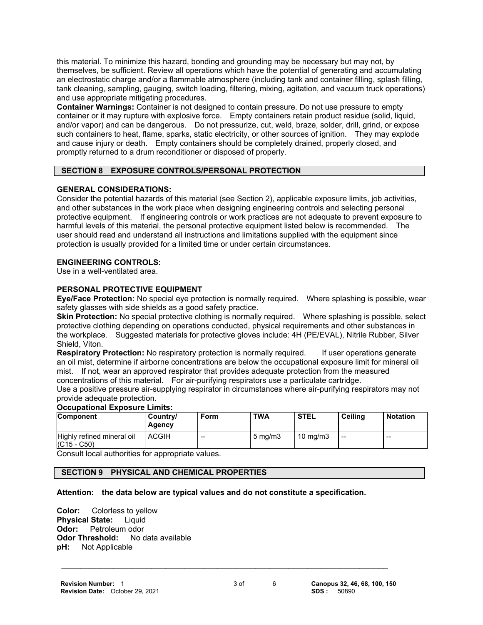this material. To minimize this hazard, bonding and grounding may be necessary but may not, by themselves, be sufficient. Review all operations which have the potential of generating and accumulating an electrostatic charge and/or a flammable atmosphere (including tank and container filling, splash filling, tank cleaning, sampling, gauging, switch loading, filtering, mixing, agitation, and vacuum truck operations) and use appropriate mitigating procedures.

**Container Warnings:** Container is not designed to contain pressure. Do not use pressure to empty container or it may rupture with explosive force. Empty containers retain product residue (solid, liquid, and/or vapor) and can be dangerous. Do not pressurize, cut, weld, braze, solder, drill, grind, or expose such containers to heat, flame, sparks, static electricity, or other sources of ignition. They may explode and cause injury or death. Empty containers should be completely drained, properly closed, and promptly returned to a drum reconditioner or disposed of properly.

# **SECTION 8 EXPOSURE CONTROLS/PERSONAL PROTECTION**

#### **GENERAL CONSIDERATIONS:**

Consider the potential hazards of this material (see Section 2), applicable exposure limits, job activities, and other substances in the work place when designing engineering controls and selecting personal protective equipment. If engineering controls or work practices are not adequate to prevent exposure to harmful levels of this material, the personal protective equipment listed below is recommended. The user should read and understand all instructions and limitations supplied with the equipment since protection is usually provided for a limited time or under certain circumstances.

#### **ENGINEERING CONTROLS:**

Use in a well-ventilated area.

#### **PERSONAL PROTECTIVE EQUIPMENT**

**Eye/Face Protection:** No special eye protection is normally required. Where splashing is possible, wear safety glasses with side shields as a good safety practice.

**Skin Protection:** No special protective clothing is normally required. Where splashing is possible, select protective clothing depending on operations conducted, physical requirements and other substances in the workplace. Suggested materials for protective gloves include: 4H (PE/EVAL), Nitrile Rubber, Silver Shield, Viton.

**Respiratory Protection:** No respiratory protection is normally required. If user operations generate an oil mist, determine if airborne concentrations are below the occupational exposure limit for mineral oil mist. If not, wear an approved respirator that provides adequate protection from the measured concentrations of this material. For air-purifying respirators use a particulate cartridge.

Use a positive pressure air-supplying respirator in circumstances where air-purifying respirators may not provide adequate protection.

#### **Occupational Exposure Limits:**

| <b>Component</b>                            | Country/<br><b>Agency</b> | Form | <b>TWA</b>       | <b>STEL</b>         | Ceiling | <b>Notation</b> |
|---------------------------------------------|---------------------------|------|------------------|---------------------|---------|-----------------|
| Highly refined mineral oil<br>$(C15 - C50)$ | <b>ACGIH</b>              | --   | $5 \text{ mg/m}$ | $10 \text{ ma/m}$ 3 | $-$     | $- -$           |

Consult local authorities for appropriate values.

# **SECTION 9 PHYSICAL AND CHEMICAL PROPERTIES**

#### **Attention: the data below are typical values and do not constitute a specification.**

 **\_\_\_\_\_\_\_\_\_\_\_\_\_\_\_\_\_\_\_\_\_\_\_\_\_\_\_\_\_\_\_\_\_\_\_\_\_\_\_\_\_\_\_\_\_\_\_\_\_\_\_\_\_\_\_\_\_\_\_\_\_\_\_\_\_\_\_\_\_**

**Color:** Colorless to yellow **Physical State:** Liquid **Odor:** Petroleum odor **Odor Threshold:** No data available **pH:** Not Applicable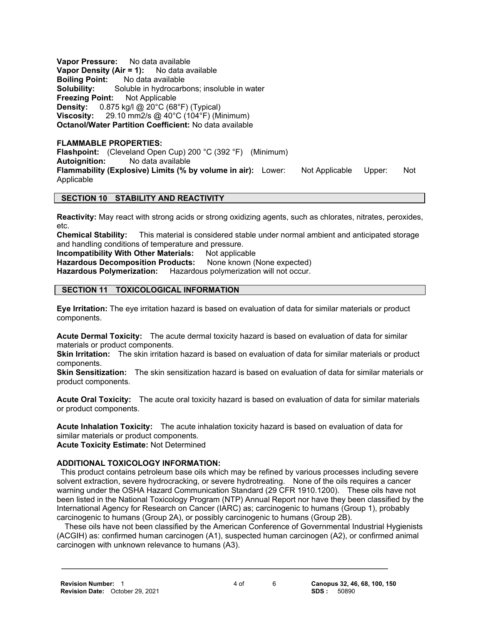**Vapor Pressure:** No data available **Vapor Density (Air = 1):** No data available **Boiling Point:** No data available **Solubility:** Soluble in hydrocarbons; insoluble in water **Freezing Point:** Not Applicable **Density:** 0.875 kg/l @ 20°C (68°F) (Typical) **Viscosity:** 29.10 mm2/s @ 40°C (104°F) (Minimum) **Octanol/Water Partition Coefficient:** No data available

#### **FLAMMABLE PROPERTIES:**

**Flashpoint:** (Cleveland Open Cup) 200 °C (392 °F) (Minimum) **Autoignition:** No data available **Flammability (Explosive) Limits (% by volume in air):** Lower: Not Applicable Upper: Not Applicable

# **SECTION 10 STABILITY AND REACTIVITY**

**Reactivity:** May react with strong acids or strong oxidizing agents, such as chlorates, nitrates, peroxides, etc.

**Chemical Stability:** This material is considered stable under normal ambient and anticipated storage and handling conditions of temperature and pressure.

**Incompatibility With Other Materials:** Not applicable

**Hazardous Decomposition Products:** None known (None expected) **Hazardous Polymerization:** Hazardous polymerization will not occur.

### **SECTION 11 TOXICOLOGICAL INFORMATION**

**Eye Irritation:** The eye irritation hazard is based on evaluation of data for similar materials or product components.

**Acute Dermal Toxicity:** The acute dermal toxicity hazard is based on evaluation of data for similar materials or product components.

**Skin Irritation:** The skin irritation hazard is based on evaluation of data for similar materials or product components.

**Skin Sensitization:** The skin sensitization hazard is based on evaluation of data for similar materials or product components.

**Acute Oral Toxicity:** The acute oral toxicity hazard is based on evaluation of data for similar materials or product components.

**Acute Inhalation Toxicity:** The acute inhalation toxicity hazard is based on evaluation of data for similar materials or product components. **Acute Toxicity Estimate:** Not Determined

#### **ADDITIONAL TOXICOLOGY INFORMATION:**

This product contains petroleum base oils which may be refined by various processes including severe solvent extraction, severe hydrocracking, or severe hydrotreating. None of the oils requires a cancer warning under the OSHA Hazard Communication Standard (29 CFR 1910.1200). These oils have not been listed in the National Toxicology Program (NTP) Annual Report nor have they been classified by the International Agency for Research on Cancer (IARC) as; carcinogenic to humans (Group 1), probably carcinogenic to humans (Group 2A), or possibly carcinogenic to humans (Group 2B).

 These oils have not been classified by the American Conference of Governmental Industrial Hygienists (ACGIH) as: confirmed human carcinogen (A1), suspected human carcinogen (A2), or confirmed animal carcinogen with unknown relevance to humans (A3).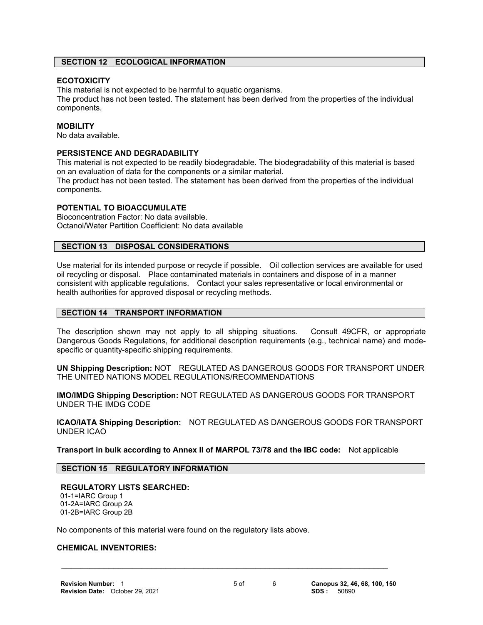#### **SECTION 12 ECOLOGICAL INFORMATION**

#### **ECOTOXICITY**

This material is not expected to be harmful to aquatic organisms.

The product has not been tested. The statement has been derived from the properties of the individual components.

#### **MOBILITY**

No data available.

#### **PERSISTENCE AND DEGRADABILITY**

This material is not expected to be readily biodegradable. The biodegradability of this material is based on an evaluation of data for the components or a similar material.

The product has not been tested. The statement has been derived from the properties of the individual components.

#### **POTENTIAL TO BIOACCUMULATE**

Bioconcentration Factor: No data available. Octanol/Water Partition Coefficient: No data available

#### **SECTION 13 DISPOSAL CONSIDERATIONS**

Use material for its intended purpose or recycle if possible. Oil collection services are available for used oil recycling or disposal. Place contaminated materials in containers and dispose of in a manner consistent with applicable regulations. Contact your sales representative or local environmental or health authorities for approved disposal or recycling methods.

#### **SECTION 14 TRANSPORT INFORMATION**

The description shown may not apply to all shipping situations. Consult 49CFR, or appropriate Dangerous Goods Regulations, for additional description requirements (e.g., technical name) and modespecific or quantity-specific shipping requirements.

**UN Shipping Description:** NOT REGULATED AS DANGEROUS GOODS FOR TRANSPORT UNDER THE UNITED NATIONS MODEL REGULATIONS/RECOMMENDATIONS

**IMO/IMDG Shipping Description:** NOT REGULATED AS DANGEROUS GOODS FOR TRANSPORT UNDER THE IMDG CODE

**ICAO/IATA Shipping Description:** NOT REGULATED AS DANGEROUS GOODS FOR TRANSPORT UNDER ICAO

**Transport in bulk according to Annex II of MARPOL 73/78 and the IBC code:** Not applicable

#### **SECTION 15 REGULATORY INFORMATION**

#### **REGULATORY LISTS SEARCHED:** 01-1=IARC Group 1

 01-2A=IARC Group 2A 01-2B=IARC Group 2B

No components of this material were found on the regulatory lists above.

#### **CHEMICAL INVENTORIES:**